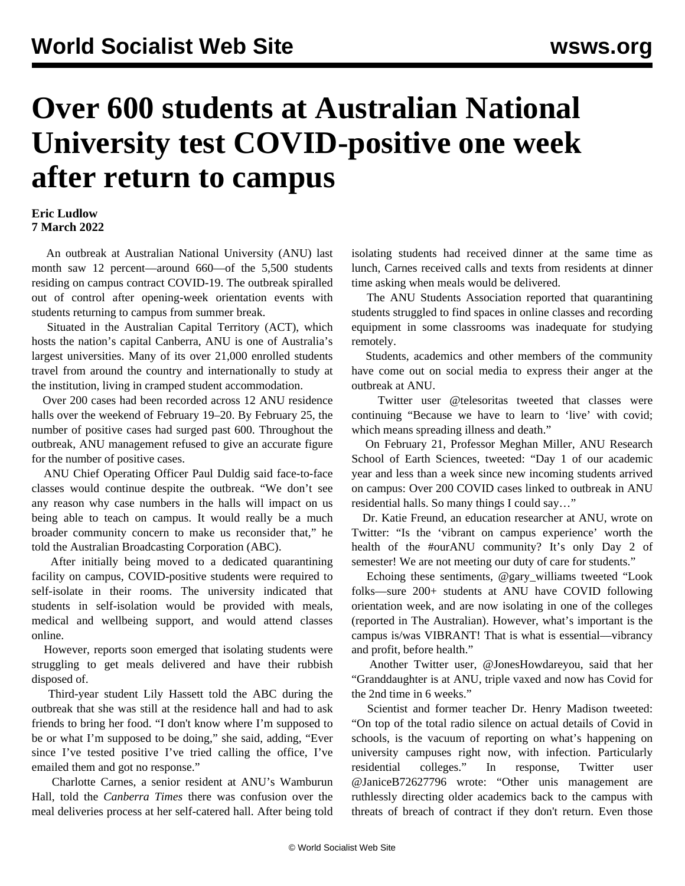## **Over 600 students at Australian National University test COVID-positive one week after return to campus**

## **Eric Ludlow 7 March 2022**

 An outbreak at Australian National University (ANU) last month saw 12 percent—around 660—of the 5,500 students residing on campus contract COVID-19. The outbreak spiralled out of control after opening-week orientation events with students returning to campus from summer break.

 Situated in the Australian Capital Territory (ACT), which hosts the nation's capital Canberra, ANU is one of Australia's largest universities. Many of its over 21,000 enrolled students travel from around the country and internationally to study at the institution, living in cramped student accommodation.

 Over 200 cases had been recorded across 12 ANU residence halls over the weekend of February 19–20. By February 25, the number of positive cases had surged past 600. Throughout the outbreak, ANU management refused to give an accurate figure for the number of positive cases.

 ANU Chief Operating Officer Paul Duldig said face-to-face classes would continue despite the outbreak. "We don't see any reason why case numbers in the halls will impact on us being able to teach on campus. It would really be a much broader community concern to make us reconsider that," he told the Australian Broadcasting Corporation (ABC).

 After initially being moved to a dedicated quarantining facility on campus, COVID-positive students were required to self-isolate in their rooms. The university indicated that students in self-isolation would be provided with meals, medical and wellbeing support, and would attend classes online.

 However, reports soon emerged that isolating students were struggling to get meals delivered and have their rubbish disposed of.

 Third-year student Lily Hassett told the ABC during the outbreak that she was still at the residence hall and had to ask friends to bring her food. "I don't know where I'm supposed to be or what I'm supposed to be doing," she said, adding, "Ever since I've tested positive I've tried calling the office, I've emailed them and got no response."

 Charlotte Carnes, a senior resident at ANU's Wamburun Hall, told the *Canberra Times* there was confusion over the meal deliveries process at her self-catered hall. After being told isolating students had received dinner at the same time as lunch, Carnes received calls and texts from residents at dinner time asking when meals would be delivered.

 The ANU Students Association reported that quarantining students struggled to find spaces in online classes and recording equipment in some classrooms was inadequate for studying remotely.

 Students, academics and other members of the community have come out on social media to express their anger at the outbreak at ANU.

 Twitter user @telesoritas tweeted that classes were continuing "Because we have to learn to 'live' with covid; which means spreading illness and death."

 On February 21, Professor Meghan Miller, ANU Research School of Earth Sciences, tweeted: "Day 1 of our academic year and less than a week since new incoming students arrived on campus: Over 200 COVID cases linked to outbreak in ANU residential halls. So many things I could say…"

 Dr. Katie Freund, an education researcher at ANU, wrote on Twitter: "Is the 'vibrant on campus experience' worth the health of the #ourANU community? It's only Day 2 of semester! We are not meeting our duty of care for students."

 Echoing these sentiments, @gary\_williams tweeted "Look folks––sure 200+ students at ANU have COVID following orientation week, and are now isolating in one of the colleges (reported in The Australian). However, what's important is the campus is/was VIBRANT! That is what is essential––vibrancy and profit, before health."

 Another Twitter user, @JonesHowdareyou, said that her "Granddaughter is at ANU, triple vaxed and now has Covid for the 2nd time in 6 weeks."

 Scientist and former teacher Dr. Henry Madison tweeted: "On top of the total radio silence on actual details of Covid in schools, is the vacuum of reporting on what's happening on university campuses right now, with infection. Particularly residential colleges." In response, Twitter user @JaniceB72627796 wrote: "Other unis management are ruthlessly directing older academics back to the campus with threats of breach of contract if they don't return. Even those